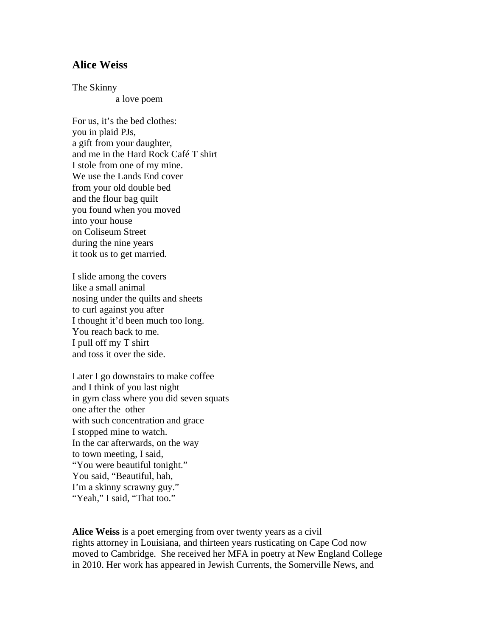## **Alice Weiss**

The Skinny

a love poem

For us, it's the bed clothes: you in plaid PJs, a gift from your daughter, and me in the Hard Rock Café T shirt I stole from one of my mine. We use the Lands End cover from your old double bed and the flour bag quilt you found when you moved into your house on Coliseum Street during the nine years it took us to get married.

I slide among the covers like a small animal nosing under the quilts and sheets to curl against you after I thought it'd been much too long. You reach back to me. I pull off my T shirt and toss it over the side.

Later I go downstairs to make coffee and I think of you last night in gym class where you did seven squats one after the other with such concentration and grace I stopped mine to watch. In the car afterwards, on the way to town meeting, I said, "You were beautiful tonight." You said, "Beautiful, hah, I'm a skinny scrawny guy." "Yeah," I said, "That too."

**Alice Weiss** is a poet emerging from over twenty years as a civil rights attorney in Louisiana, and thirteen years rusticating on Cape Cod now moved to Cambridge. She received her MFA in poetry at New England College in 2010. Her work has appeared in Jewish Currents, the Somerville News, and